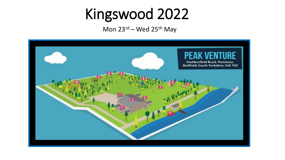### Kingswood 2022

Mon  $23^{rd}$  – Wed  $25^{th}$  May

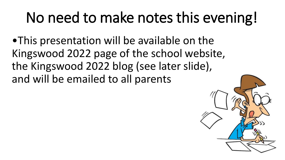### No need to make notes this evening!

•This presentation will be available on the Kingswood 2022 page of the school website, the Kingswood 2022 blog (see later slide), and will be emailed to all parents

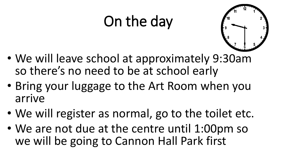### On the day



- We will leave school at approximately 9:30am so there's no need to be at school early
- Bring your luggage to the Art Room when you arrive
- We will register as normal, go to the toilet etc.
- We are not due at the centre until 1:00pm so we will be going to Cannon Hall Park first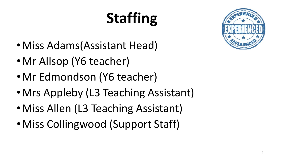# **Staffing**



- •Miss Adams(Assistant Head)
- •Mr Allsop (Y6 teacher)
- •Mr Edmondson (Y6 teacher)
- Mrs Appleby (L3 Teaching Assistant)
- Miss Allen (L3 Teaching Assistant)
- •Miss Collingwood (Support Staff)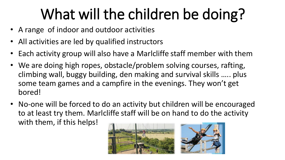### What will the children be doing?

- A range of indoor and outdoor activities
- All activities are led by qualified instructors
- Each activity group will also have a Marlcliffe staff member with them
- We are doing high ropes, obstacle/problem solving courses, rafting, climbing wall, buggy building, den making and survival skills ….. plus some team games and a campfire in the evenings. They won't get bored!
- No-one will be forced to do an activity but children will be encouraged to at least try them. Marlcliffe staff will be on hand to do the activity with them, if this helps!

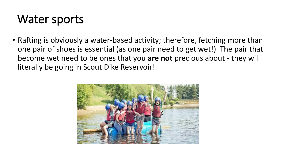#### Water sports

• Rafting is obviously a water-based activity; therefore, fetching more than one pair of shoes is essential (as one pair need to get wet!) The pair that become wet need to be ones that you **are not** precious about - they will literally be going in Scout Dike Reservoir!

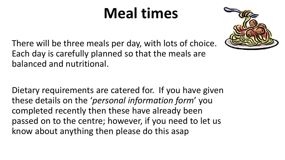### **Meal times**



There will be three meals per day, with lots of choice. Each day is carefully planned so that the meals are balanced and nutritional.

Dietary requirements are catered for. If you have given these details on the '*personal information form*' you completed recently then these have already been passed on to the centre; however, if you need to let us know about anything then please do this asap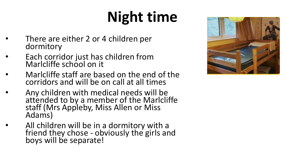# **Night time**

- There are either 2 or 4 children per dormitory
- Each corridor just has children from Marlcliffe school on it
- Marlcliffe staff are based on the end of the corridors and will be on call at all times
- Any children with medical needs will be attended to by a member of the Marlcliffe staff (Mrs Appleby, Miss Allen or Miss Adams)
- All children will be in a dormitory with a friend they chose - obviously the girls and boys will be separate!

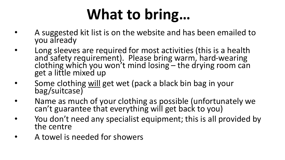### **What to bring…**

- A suggested kit list is on the website and has been emailed to you already
- Long sleeves are required for most activities (this is a health and safety requirement). Please bring warm, hard-wearing clothing which you won't mind losing – the drying room can get a little mixed up
- Some clothing will get wet (pack a black bin bag in your bag/suitcase)
- Name as much of your clothing as possible (unfortunately we can't guarantee that everything will get back to you)
- You don't need any specialist equipment; this is all provided by the centre
- A towel is needed for showers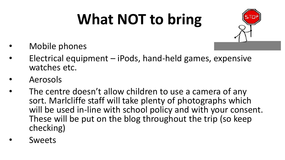# **What NOT to bring**



- Mobile phones
- Electrical equipment iPods, hand-held games, expensive watches etc.
- Aerosols
- The centre doesn't allow children to use a camera of any sort. Marlcliffe staff will take plenty of photographs which will be used in-line with school policy and with your consent. These will be put on the blog throughout the trip (so keep checking)
- **Sweets**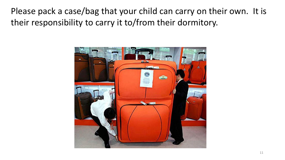Please pack a case/bag that your child can carry on their own. It is their responsibility to carry it to/from their dormitory.

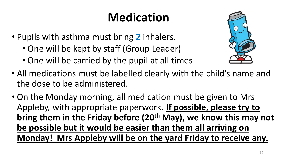#### **Medication**

- Pupils with asthma must bring **2** inhalers.
	- One will be kept by staff (Group Leader)
	- One will be carried by the pupil at all times
- All medications must be labelled clearly with the child's name and the dose to be administered.
- On the Monday morning, all medication must be given to Mrs Appleby, with appropriate paperwork. **If possible, please try to bring them in the Friday before (20th May), we know this may not be possible but it would be easier than them all arriving on Monday! Mrs Appleby will be on the yard Friday to receive any.**

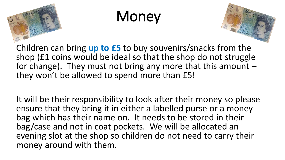

### **Money**



Children can bring **up to £5** to buy souvenirs/snacks from the shop (£1 coins would be ideal so that the shop do not struggle for change). They must not bring any more that this amount  $$ they won't be allowed to spend more than £5!

It will be their responsibility to look after their money so please ensure that they bring it in either a labelled purse or a money bag which has their name on. It needs to be stored in their bag/case and not in coat pockets. We will be allocated an evening slot at the shop so children do not need to carry their money around with them.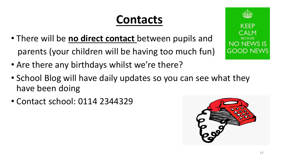#### **Contacts**

- There will be **no direct contact** between pupils and parents (your children will be having too much fun)
- Are there any birthdays whilst we're there?
- School Blog will have daily updates so you can see what they have been doing
- Contact school: 0114 2344329



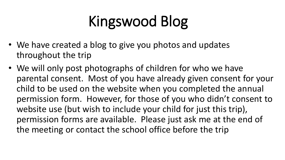### Kingswood Blog

- We have created a blog to give you photos and updates throughout the trip
- We will only post photographs of children for who we have parental consent. Most of you have already given consent for your child to be used on the website when you completed the annual permission form. However, for those of you who didn't consent to website use (but wish to include your child for just this trip), permission forms are available. Please just ask me at the end of the meeting or contact the school office before the trip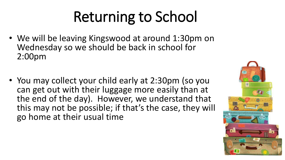## Returning to School

- We will be leaving Kingswood at around 1:30pm on Wednesday so we should be back in school for 2:00pm
- You may collect your child early at 2:30pm (so you can get out with their luggage more easily than at the end of the day). However, we understand that this may not be possible; if that's the case, they will go home at their usual time